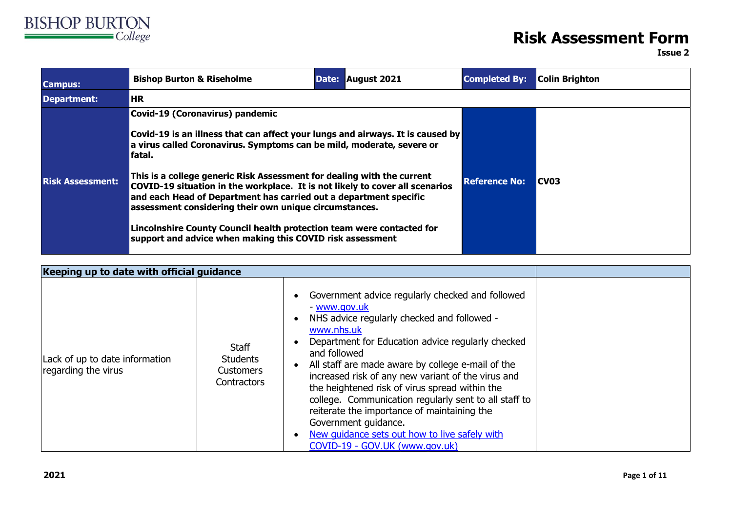

## **Risk Assessment Form**

**Issue 2**

| <b>Campus:</b>          | <b>Bishop Burton &amp; Riseholme</b><br>Date: August 2021                                                                                                                                                                                                                             | <b>Completed By:</b> | Colin Brighton |  |  |
|-------------------------|---------------------------------------------------------------------------------------------------------------------------------------------------------------------------------------------------------------------------------------------------------------------------------------|----------------------|----------------|--|--|
| <b>Department:</b>      | <b>HR</b>                                                                                                                                                                                                                                                                             |                      |                |  |  |
|                         | <b>Covid-19 (Coronavirus) pandemic</b><br>Covid-19 is an illness that can affect your lungs and airways. It is caused by<br>a virus called Coronavirus. Symptoms can be mild, moderate, severe or<br>fatal.                                                                           |                      |                |  |  |
| <b>Risk Assessment:</b> | This is a college generic Risk Assessment for dealing with the current<br>COVID-19 situation in the workplace. It is not likely to cover all scenarios<br>and each Head of Department has carried out a department specific<br>assessment considering their own unique circumstances. | <b>Reference No:</b> | <b>CV03</b>    |  |  |
|                         | Lincolnshire County Council health protection team were contacted for<br>support and advice when making this COVID risk assessment                                                                                                                                                    |                      |                |  |  |

| Keeping up to date with official guidance             |                                                                    |                                                                                                                                                                                                                                                                                                                                                                                                                                                                                                                                                                                                                           |  |
|-------------------------------------------------------|--------------------------------------------------------------------|---------------------------------------------------------------------------------------------------------------------------------------------------------------------------------------------------------------------------------------------------------------------------------------------------------------------------------------------------------------------------------------------------------------------------------------------------------------------------------------------------------------------------------------------------------------------------------------------------------------------------|--|
| Lack of up to date information<br>regarding the virus | <b>Staff</b><br><b>Students</b><br><b>Customers</b><br>Contractors | Government advice regularly checked and followed<br>$\bullet$<br>- www.gov.uk<br>NHS advice regularly checked and followed -<br>$\bullet$<br>www.nhs.uk<br>Department for Education advice regularly checked<br>and followed<br>All staff are made aware by college e-mail of the<br>$\bullet$<br>increased risk of any new variant of the virus and<br>the heightened risk of virus spread within the<br>college. Communication regularly sent to all staff to<br>reiterate the importance of maintaining the<br>Government guidance.<br>New guidance sets out how to live safely with<br>COVID-19 - GOV.UK (www.gov.uk) |  |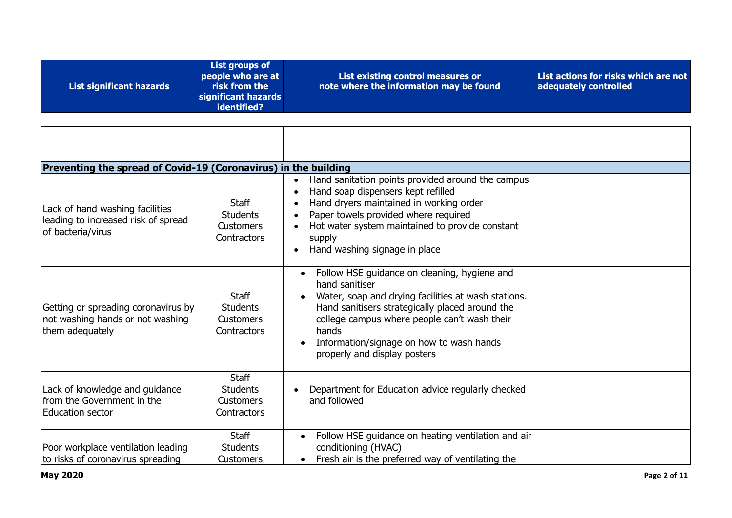| identified? | List significant hazards | List groups of<br>people who are at<br>risk from the<br>significant hazards | List existing control measures or<br>note where the information may be found | List actions for risks which are not<br>adequately controlled |
|-------------|--------------------------|-----------------------------------------------------------------------------|------------------------------------------------------------------------------|---------------------------------------------------------------|
|-------------|--------------------------|-----------------------------------------------------------------------------|------------------------------------------------------------------------------|---------------------------------------------------------------|

| Preventing the spread of Covid-19 (Coronavirus) in the building                             |                                                                    |                                                                                                                                                                                                                                                                                                                            |  |
|---------------------------------------------------------------------------------------------|--------------------------------------------------------------------|----------------------------------------------------------------------------------------------------------------------------------------------------------------------------------------------------------------------------------------------------------------------------------------------------------------------------|--|
| Lack of hand washing facilities<br>leading to increased risk of spread<br>of bacteria/virus | <b>Staff</b><br><b>Students</b><br><b>Customers</b><br>Contractors | Hand sanitation points provided around the campus<br>$\bullet$<br>Hand soap dispensers kept refilled<br>Hand dryers maintained in working order<br>Paper towels provided where required<br>Hot water system maintained to provide constant<br>supply<br>Hand washing signage in place<br>$\bullet$                         |  |
| Getting or spreading coronavirus by<br>not washing hands or not washing<br>them adequately  | <b>Staff</b><br><b>Students</b><br><b>Customers</b><br>Contractors | Follow HSE guidance on cleaning, hygiene and<br>$\bullet$<br>hand sanitiser<br>Water, soap and drying facilities at wash stations.<br>Hand sanitisers strategically placed around the<br>college campus where people can't wash their<br>hands<br>Information/signage on how to wash hands<br>properly and display posters |  |
| Lack of knowledge and guidance<br>from the Government in the<br>Education sector            | <b>Staff</b><br><b>Students</b><br><b>Customers</b><br>Contractors | Department for Education advice regularly checked<br>and followed                                                                                                                                                                                                                                                          |  |
| Poor workplace ventilation leading<br>to risks of coronavirus spreading                     | <b>Staff</b><br><b>Students</b><br><b>Customers</b>                | Follow HSE guidance on heating ventilation and air<br>conditioning (HVAC)<br>Fresh air is the preferred way of ventilating the                                                                                                                                                                                             |  |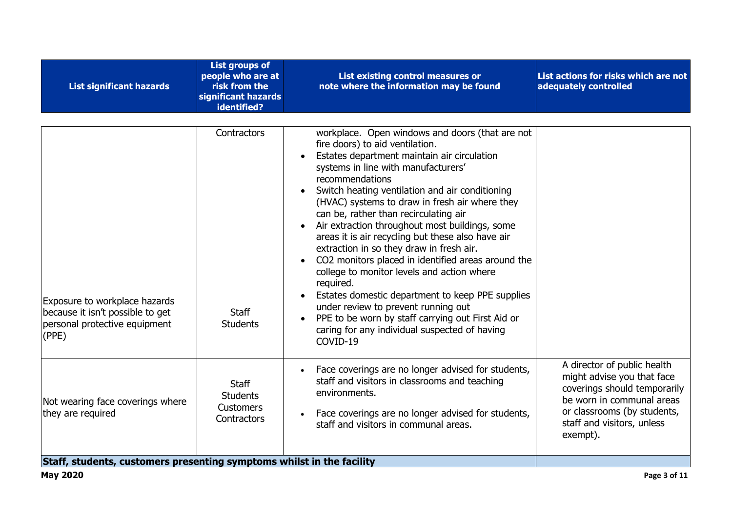| <b>List significant hazards</b>                                                                             | <b>List groups of</b><br>people who are at<br>risk from the<br>significant hazards<br>identified? | List existing control measures or<br>note where the information may be found                                                                                                                                                                                                                                                                                                                                                                                                                                                                                                                                                                                                                                                                                                                                                            | List actions for risks which are not<br>adequately controlled                                                                                                                                   |
|-------------------------------------------------------------------------------------------------------------|---------------------------------------------------------------------------------------------------|-----------------------------------------------------------------------------------------------------------------------------------------------------------------------------------------------------------------------------------------------------------------------------------------------------------------------------------------------------------------------------------------------------------------------------------------------------------------------------------------------------------------------------------------------------------------------------------------------------------------------------------------------------------------------------------------------------------------------------------------------------------------------------------------------------------------------------------------|-------------------------------------------------------------------------------------------------------------------------------------------------------------------------------------------------|
| Exposure to workplace hazards<br>because it isn't possible to get<br>personal protective equipment<br>(PPE) | Contractors<br><b>Staff</b><br><b>Students</b>                                                    | workplace. Open windows and doors (that are not<br>fire doors) to aid ventilation.<br>Estates department maintain air circulation<br>systems in line with manufacturers'<br>recommendations<br>Switch heating ventilation and air conditioning<br>$\bullet$<br>(HVAC) systems to draw in fresh air where they<br>can be, rather than recirculating air<br>Air extraction throughout most buildings, some<br>areas it is air recycling but these also have air<br>extraction in so they draw in fresh air.<br>CO2 monitors placed in identified areas around the<br>college to monitor levels and action where<br>required.<br>Estates domestic department to keep PPE supplies<br>under review to prevent running out<br>PPE to be worn by staff carrying out First Aid or<br>caring for any individual suspected of having<br>COVID-19 |                                                                                                                                                                                                 |
| Not wearing face coverings where<br>they are required                                                       | <b>Staff</b><br><b>Students</b><br><b>Customers</b><br>Contractors                                | Face coverings are no longer advised for students,<br>staff and visitors in classrooms and teaching<br>environments.<br>Face coverings are no longer advised for students,<br>staff and visitors in communal areas.                                                                                                                                                                                                                                                                                                                                                                                                                                                                                                                                                                                                                     | A director of public health<br>might advise you that face<br>coverings should temporarily<br>be worn in communal areas<br>or classrooms (by students,<br>staff and visitors, unless<br>exempt). |
| Staff, students, customers presenting symptoms whilst in the facility                                       |                                                                                                   |                                                                                                                                                                                                                                                                                                                                                                                                                                                                                                                                                                                                                                                                                                                                                                                                                                         |                                                                                                                                                                                                 |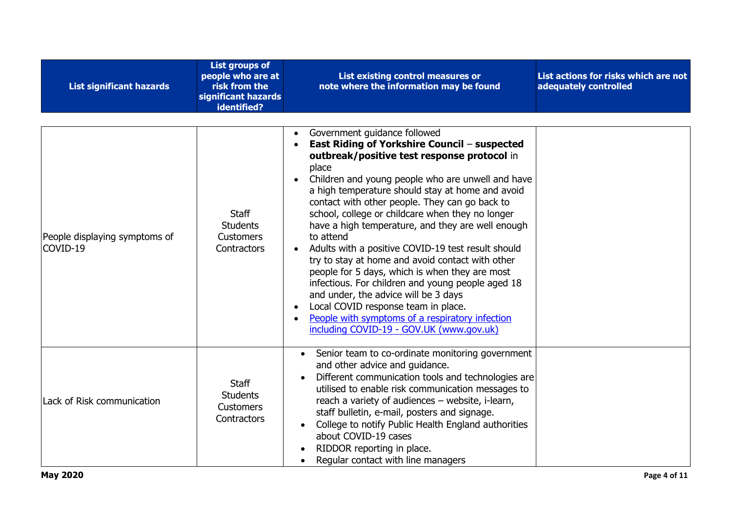| <b>List significant hazards</b>           | <b>List groups of</b><br>people who are at<br>risk from the<br>significant hazards<br>identified? | List existing control measures or<br>note where the information may be found                                                                                                                                                                                                                                                                                                                                                                                                                                                                                                                                                                                                                                                                                                                                                                                | List actions for risks which are not<br>adequately controlled |
|-------------------------------------------|---------------------------------------------------------------------------------------------------|-------------------------------------------------------------------------------------------------------------------------------------------------------------------------------------------------------------------------------------------------------------------------------------------------------------------------------------------------------------------------------------------------------------------------------------------------------------------------------------------------------------------------------------------------------------------------------------------------------------------------------------------------------------------------------------------------------------------------------------------------------------------------------------------------------------------------------------------------------------|---------------------------------------------------------------|
| People displaying symptoms of<br>COVID-19 | <b>Staff</b><br><b>Students</b><br><b>Customers</b><br>Contractors                                | Government guidance followed<br>$\bullet$<br>East Riding of Yorkshire Council - suspected<br>outbreak/positive test response protocol in<br>place<br>Children and young people who are unwell and have<br>$\bullet$<br>a high temperature should stay at home and avoid<br>contact with other people. They can go back to<br>school, college or childcare when they no longer<br>have a high temperature, and they are well enough<br>to attend<br>Adults with a positive COVID-19 test result should<br>try to stay at home and avoid contact with other<br>people for 5 days, which is when they are most<br>infectious. For children and young people aged 18<br>and under, the advice will be 3 days<br>Local COVID response team in place.<br>$\bullet$<br>People with symptoms of a respiratory infection<br>including COVID-19 - GOV.UK (www.gov.uk) |                                                               |
| Lack of Risk communication                | <b>Staff</b><br><b>Students</b><br><b>Customers</b><br>Contractors                                | Senior team to co-ordinate monitoring government<br>and other advice and guidance.<br>Different communication tools and technologies are<br>utilised to enable risk communication messages to<br>reach a variety of audiences - website, i-learn,<br>staff bulletin, e-mail, posters and signage.<br>College to notify Public Health England authorities<br>about COVID-19 cases<br>RIDDOR reporting in place.<br>Regular contact with line managers                                                                                                                                                                                                                                                                                                                                                                                                        |                                                               |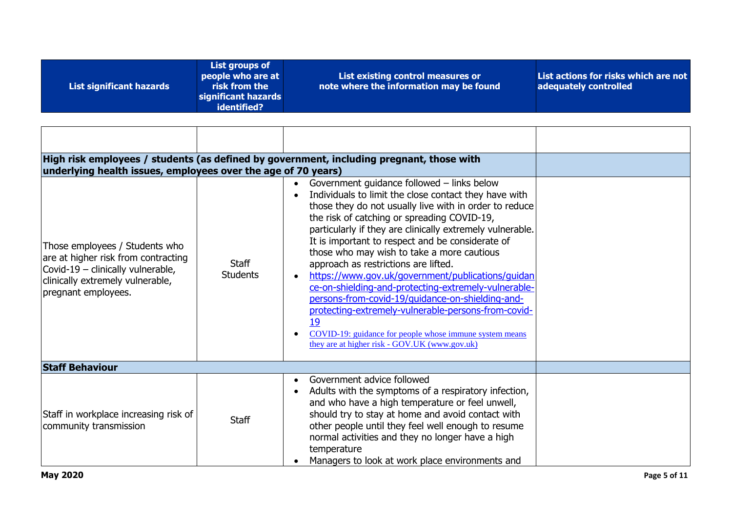| note where the information may be found<br>risk from the<br>adequately controlled<br>List significant hazards<br>significant hazards<br>identified? |  | List groups of<br>people who are at | List existing control measures or | List actions for risks which are not |
|-----------------------------------------------------------------------------------------------------------------------------------------------------|--|-------------------------------------|-----------------------------------|--------------------------------------|
|-----------------------------------------------------------------------------------------------------------------------------------------------------|--|-------------------------------------|-----------------------------------|--------------------------------------|

| High risk employees / students (as defined by government, including pregnant, those with<br>underlying health issues, employees over the age of 70 years)             |                                 |                                                                                                                                                                                                                                                                                                                                                                                                                                                                                                                                                                                                                                                                                                                                                               |  |
|-----------------------------------------------------------------------------------------------------------------------------------------------------------------------|---------------------------------|---------------------------------------------------------------------------------------------------------------------------------------------------------------------------------------------------------------------------------------------------------------------------------------------------------------------------------------------------------------------------------------------------------------------------------------------------------------------------------------------------------------------------------------------------------------------------------------------------------------------------------------------------------------------------------------------------------------------------------------------------------------|--|
| Those employees / Students who<br>are at higher risk from contracting<br>Covid-19 - clinically vulnerable,<br>clinically extremely vulnerable,<br>pregnant employees. | <b>Staff</b><br><b>Students</b> | Government guidance followed - links below<br>Individuals to limit the close contact they have with<br>those they do not usually live with in order to reduce<br>the risk of catching or spreading COVID-19,<br>particularly if they are clinically extremely vulnerable.<br>It is important to respect and be considerate of<br>those who may wish to take a more cautious<br>approach as restrictions are lifted.<br>https://www.gov.uk/government/publications/guidan<br>ce-on-shielding-and-protecting-extremely-vulnerable-<br>persons-from-covid-19/quidance-on-shielding-and-<br>protecting-extremely-vulnerable-persons-from-covid-<br>19<br>COVID-19: guidance for people whose immune system means<br>they are at higher risk - GOV.UK (www.gov.uk) |  |
| <b>Staff Behaviour</b>                                                                                                                                                |                                 |                                                                                                                                                                                                                                                                                                                                                                                                                                                                                                                                                                                                                                                                                                                                                               |  |
| Staff in workplace increasing risk of<br>community transmission                                                                                                       | <b>Staff</b>                    | Government advice followed<br>$\bullet$<br>Adults with the symptoms of a respiratory infection,<br>$\bullet$<br>and who have a high temperature or feel unwell,<br>should try to stay at home and avoid contact with<br>other people until they feel well enough to resume<br>normal activities and they no longer have a high<br>temperature<br>Managers to look at work place environments and                                                                                                                                                                                                                                                                                                                                                              |  |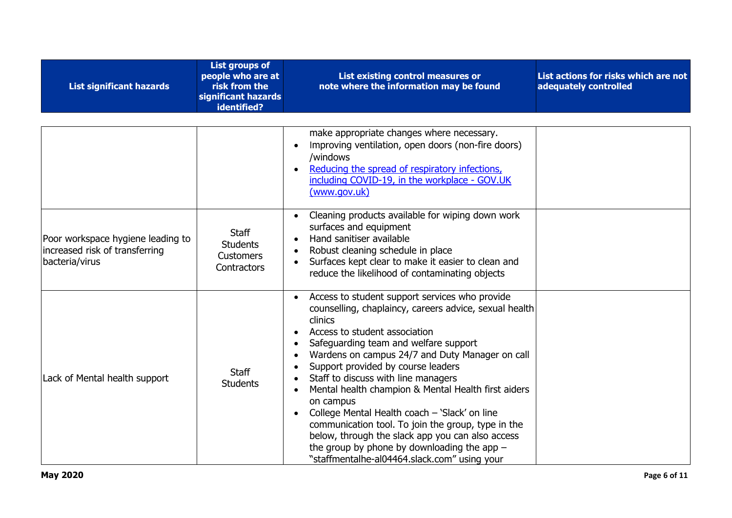| <b>List significant hazards</b>                                                       | <b>List groups of</b><br>people who are at<br>risk from the<br>significant hazards<br>identified? | List existing control measures or<br>note where the information may be found                                                                                                                                                                                                                                                                                                                                                                                                                                                                                                                                                                                                                                                                | List actions for risks which are not<br>adequately controlled |
|---------------------------------------------------------------------------------------|---------------------------------------------------------------------------------------------------|---------------------------------------------------------------------------------------------------------------------------------------------------------------------------------------------------------------------------------------------------------------------------------------------------------------------------------------------------------------------------------------------------------------------------------------------------------------------------------------------------------------------------------------------------------------------------------------------------------------------------------------------------------------------------------------------------------------------------------------------|---------------------------------------------------------------|
|                                                                                       |                                                                                                   | make appropriate changes where necessary.<br>Improving ventilation, open doors (non-fire doors)<br>$\bullet$<br>/windows<br>Reducing the spread of respiratory infections,<br>including COVID-19, in the workplace - GOV.UK<br>(www.gov.uk)                                                                                                                                                                                                                                                                                                                                                                                                                                                                                                 |                                                               |
| Poor workspace hygiene leading to<br>increased risk of transferring<br>bacteria/virus | Staff<br><b>Students</b><br>Customers<br>Contractors                                              | Cleaning products available for wiping down work<br>$\bullet$<br>surfaces and equipment<br>Hand sanitiser available<br>$\bullet$<br>Robust cleaning schedule in place<br>$\bullet$<br>Surfaces kept clear to make it easier to clean and<br>$\bullet$<br>reduce the likelihood of contaminating objects                                                                                                                                                                                                                                                                                                                                                                                                                                     |                                                               |
| Lack of Mental health support                                                         | <b>Staff</b><br><b>Students</b>                                                                   | Access to student support services who provide<br>$\bullet$<br>counselling, chaplaincy, careers advice, sexual health<br>clinics<br>Access to student association<br>$\bullet$<br>Safeguarding team and welfare support<br>$\bullet$<br>Wardens on campus 24/7 and Duty Manager on call<br>$\bullet$<br>Support provided by course leaders<br>$\bullet$<br>Staff to discuss with line managers<br>Mental health champion & Mental Health first aiders<br>on campus<br>College Mental Health coach - 'Slack' on line<br>$\bullet$<br>communication tool. To join the group, type in the<br>below, through the slack app you can also access<br>the group by phone by downloading the app $-$<br>"staffmentalhe-al04464.slack.com" using your |                                                               |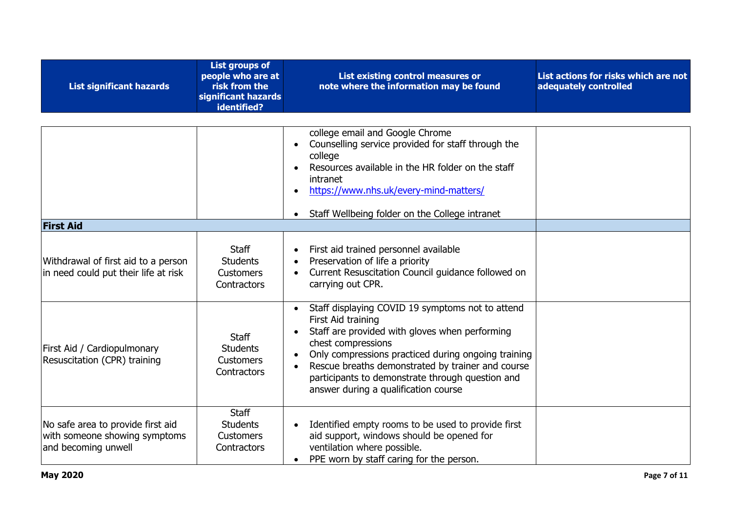| <b>List significant hazards</b>                                                           | <b>List groups of</b><br>people who are at<br>risk from the<br>significant hazards<br>identified? | List existing control measures or<br>note where the information may be found                                                                                                                                                                                                                                                                                                                  | List actions for risks which are not<br>adequately controlled |
|-------------------------------------------------------------------------------------------|---------------------------------------------------------------------------------------------------|-----------------------------------------------------------------------------------------------------------------------------------------------------------------------------------------------------------------------------------------------------------------------------------------------------------------------------------------------------------------------------------------------|---------------------------------------------------------------|
|                                                                                           |                                                                                                   | college email and Google Chrome<br>Counselling service provided for staff through the<br>$\bullet$<br>college<br>Resources available in the HR folder on the staff<br>intranet<br>https://www.nhs.uk/every-mind-matters/<br>$\bullet$<br>Staff Wellbeing folder on the College intranet<br>$\bullet$                                                                                          |                                                               |
| <b>First Aid</b>                                                                          |                                                                                                   |                                                                                                                                                                                                                                                                                                                                                                                               |                                                               |
| Withdrawal of first aid to a person<br>in need could put their life at risk               | <b>Staff</b><br><b>Students</b><br><b>Customers</b><br>Contractors                                | First aid trained personnel available<br>$\bullet$<br>Preservation of life a priority<br>$\bullet$<br>Current Resuscitation Council guidance followed on<br>carrying out CPR.                                                                                                                                                                                                                 |                                                               |
| First Aid / Cardiopulmonary<br>Resuscitation (CPR) training                               | <b>Staff</b><br><b>Students</b><br>Customers<br>Contractors                                       | Staff displaying COVID 19 symptoms not to attend<br>$\bullet$<br>First Aid training<br>Staff are provided with gloves when performing<br>$\bullet$<br>chest compressions<br>Only compressions practiced during ongoing training<br>$\bullet$<br>Rescue breaths demonstrated by trainer and course<br>participants to demonstrate through question and<br>answer during a qualification course |                                                               |
| No safe area to provide first aid<br>with someone showing symptoms<br>and becoming unwell | <b>Staff</b><br><b>Students</b><br><b>Customers</b><br>Contractors                                | Identified empty rooms to be used to provide first<br>$\bullet$<br>aid support, windows should be opened for<br>ventilation where possible.<br>PPE worn by staff caring for the person.<br>$\bullet$                                                                                                                                                                                          |                                                               |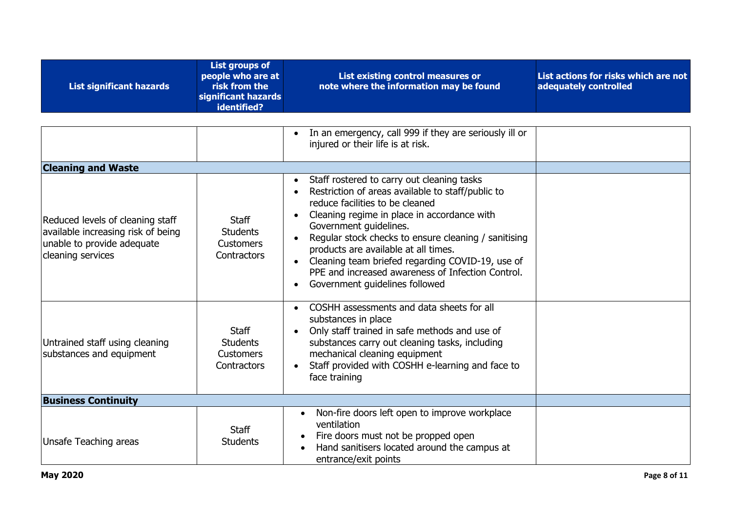| <b>List significant hazards</b>                                                                                           | <b>List groups of</b><br>people who are at<br>risk from the<br>significant hazards<br>identified? | List existing control measures or<br>note where the information may be found                                                                                                                                                                                                                                                                                                                                                                                                                                            | List actions for risks which are not<br>adequately controlled |
|---------------------------------------------------------------------------------------------------------------------------|---------------------------------------------------------------------------------------------------|-------------------------------------------------------------------------------------------------------------------------------------------------------------------------------------------------------------------------------------------------------------------------------------------------------------------------------------------------------------------------------------------------------------------------------------------------------------------------------------------------------------------------|---------------------------------------------------------------|
|                                                                                                                           |                                                                                                   | In an emergency, call 999 if they are seriously ill or<br>injured or their life is at risk.                                                                                                                                                                                                                                                                                                                                                                                                                             |                                                               |
| <b>Cleaning and Waste</b>                                                                                                 |                                                                                                   |                                                                                                                                                                                                                                                                                                                                                                                                                                                                                                                         |                                                               |
| Reduced levels of cleaning staff<br>available increasing risk of being<br>unable to provide adequate<br>cleaning services | <b>Staff</b><br><b>Students</b><br><b>Customers</b><br>Contractors                                | Staff rostered to carry out cleaning tasks<br>$\bullet$<br>Restriction of areas available to staff/public to<br>$\bullet$<br>reduce facilities to be cleaned<br>Cleaning regime in place in accordance with<br>$\bullet$<br>Government guidelines.<br>Regular stock checks to ensure cleaning / sanitising<br>$\bullet$<br>products are available at all times.<br>Cleaning team briefed regarding COVID-19, use of<br>PPE and increased awareness of Infection Control.<br>Government guidelines followed<br>$\bullet$ |                                                               |
| Untrained staff using cleaning<br>substances and equipment                                                                | <b>Staff</b><br><b>Students</b><br><b>Customers</b><br><b>Contractors</b>                         | COSHH assessments and data sheets for all<br>$\bullet$<br>substances in place<br>Only staff trained in safe methods and use of<br>$\bullet$<br>substances carry out cleaning tasks, including<br>mechanical cleaning equipment<br>Staff provided with COSHH e-learning and face to<br>$\bullet$<br>face training                                                                                                                                                                                                        |                                                               |
| <b>Business Continuity</b>                                                                                                |                                                                                                   |                                                                                                                                                                                                                                                                                                                                                                                                                                                                                                                         |                                                               |
| Unsafe Teaching areas                                                                                                     | <b>Staff</b><br><b>Students</b>                                                                   | Non-fire doors left open to improve workplace<br>ventilation<br>Fire doors must not be propped open<br>Hand sanitisers located around the campus at<br>entrance/exit points                                                                                                                                                                                                                                                                                                                                             |                                                               |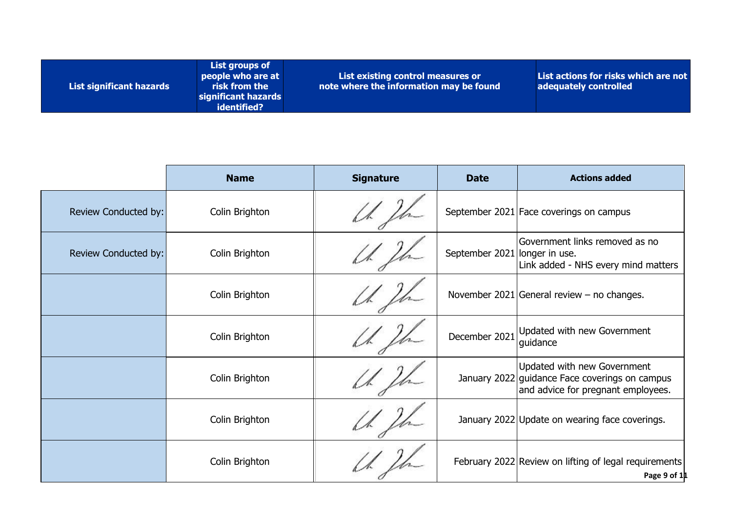| List groups of<br>people who are at<br>risk from the<br>List significant hazards<br>significant hazards<br>identified? | List actions for risks which are not<br>List existing control measures or<br>note where the information may be found<br>adequately controlled |
|------------------------------------------------------------------------------------------------------------------------|-----------------------------------------------------------------------------------------------------------------------------------------------|
|------------------------------------------------------------------------------------------------------------------------|-----------------------------------------------------------------------------------------------------------------------------------------------|

|                      | <b>Name</b>    | <b>Signature</b> | <b>Date</b>                   | <b>Actions added</b>                                                                                                |
|----------------------|----------------|------------------|-------------------------------|---------------------------------------------------------------------------------------------------------------------|
| Review Conducted by: | Colin Brighton |                  |                               | September 2021 Face coverings on campus                                                                             |
| Review Conducted by: | Colin Brighton |                  | September 2021 longer in use. | Government links removed as no<br>Link added - NHS every mind matters                                               |
|                      | Colin Brighton |                  |                               | November 2021 General review – no changes.                                                                          |
|                      | Colin Brighton |                  |                               | December 2021 Updated with new Government<br>guidance                                                               |
|                      | Colin Brighton |                  |                               | Updated with new Government<br>January 2022 guidance Face coverings on campus<br>and advice for pregnant employees. |
|                      | Colin Brighton |                  |                               | January 2022 Update on wearing face coverings.                                                                      |
|                      | Colin Brighton |                  |                               | February 2022 Review on lifting of legal requirements<br>Page 9 of 11                                               |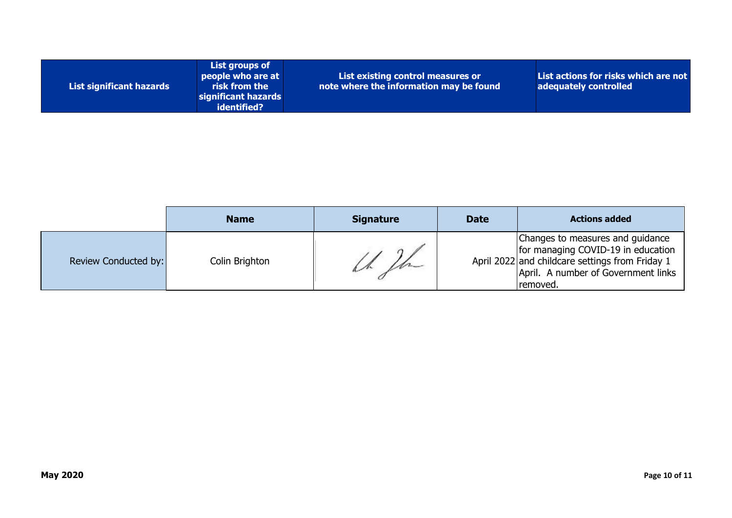| List significant hazards | List groups of<br>people who are at<br>risk from the<br>significant hazards<br>identified? | List existing control measures or<br>note where the information may be found | List actions for risks which are not<br>adequately controlled |
|--------------------------|--------------------------------------------------------------------------------------------|------------------------------------------------------------------------------|---------------------------------------------------------------|
|--------------------------|--------------------------------------------------------------------------------------------|------------------------------------------------------------------------------|---------------------------------------------------------------|

|                      | <b>Name</b>    | <b>Signature</b> | <b>Date</b> | <b>Actions added</b>                                                                                                                                                         |
|----------------------|----------------|------------------|-------------|------------------------------------------------------------------------------------------------------------------------------------------------------------------------------|
| Review Conducted by: | Colin Brighton |                  |             | Changes to measures and guidance<br>for managing COVID-19 in education<br>April 2022 and childcare settings from Friday 1<br>April. A number of Government links<br>removed. |